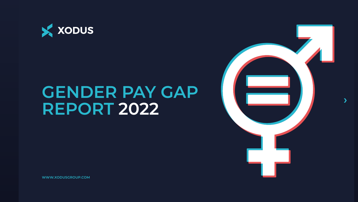**WWW.XODUSGROUP.COM**







# **GENDER PAY GAP REPORT 2022**

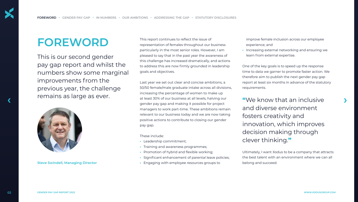Last year we set out clear and concise ambitions, a 50/50 female/male graduate intake across all divisions, increasing the percentage of women to make up at least 30% of our business at all levels, halving our gender pay gap and making it possible for project managers to work part-time. These ambitions remain relevant to our business today and we are now taking positive actions to contribute to closing our gender pay gap. *f* **i** *i**s* **then inclusive term allows as ever. The section of the st 30% of our business at all levels, halving our <b>only the st and inclusive of the st 30% of our business at all levels, halving our . . .** 

This report continues to reflect the issue of representation of females throughout our business particularly in the most senior roles. However, I am pleased to say that in the past year the awareness of this challenge has increased dramatically, and actions to address this are now firmly grounded in leadership goals and objectives.

These include:

improve female inclusion across our employee experience; and

**•** Increasing external networking and ensuring we learn from external expertise.

- **•** Leadership commitment;
- **•** Training and awareness programmes;
- **•** Promotion of hybrid and flexible working;
- **•** Significant enhancement of parental leave policies;
- **•** Engaging with employee resources groups to **Steve Swindell, Managing Director** belong and succeed.

One of the key goals is to speed up the response time to data we garner to promote faster action. We therefore aim to publish the next gender pay gap report at least six months in advance of the statutory requirements.

Ultimately, I want Xodus to be a company that attracts the best talent with an environment where we can all



**"**We know that an inclusive and diverse environment fosters creativity and innovation, which improves decision making through clever thinking.**"**

## **FOREWORD**

This is our second gender pay gap report and whilst the numbers show some marginal improvements from the previous year, the challenge remains as large as ever.

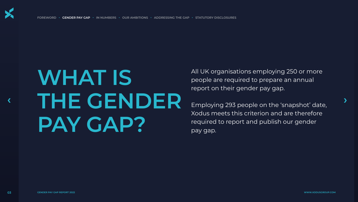

**FOREWORD • GENDER PAY GAP • IN NUMBERS • OUR AMBITIONS • ADDRESSING THE GAP • STATUTORY DISCLOSURES**

# **WHAT IS THE GENDER PAY GAP? •**  $\mathbf{F} \cup \mathbf{F} \cup \mathbf{F} \cup \mathbf{F} \cup \mathbf{F} \cup \mathbf{F}$  and  $\mathbf{F}$  and  $\mathbf{F}$  are  $\mathbf{F}$  and  $\mathbf{F}$  and  $\mathbf{F}$  are  $\mathbf{F}$  and  $\mathbf{F}$  and  $\mathbf{F}$  are  $\mathbf{F}$  and  $\mathbf{F}$  and  $\mathbf{F}$  are  $\mathbf{F}$  and  $\mathbf{F}$

All UK organisations employing 250 or more people are required to prepare an annual report on their gender pay gap.



Employing 293 people on the 'snapshot' date, Xodus meets this criterion and are therefore required to report and publish our gender pay gap.

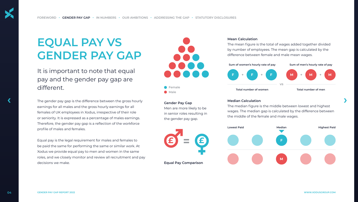

The gender pay gap is the difference between the gross hourly earnings for all males and the gross hourly earnings for all females of UK employees in Xodus, irrespective of their role or seniority. It is expressed as a percentage of males earnings. Therefore, the gender pay gap is a reflection of the workforce profile of males and females. The gender pay gap is the difference between the gross hourly<br> **Cender Pay Gap** *Cender Pay Gap Cender Pay Gap Phe median Calculation Chemedian figure is the middle between lowest and highest* 

Equal pay is the legal requirement for males and females to be paid the same for performing the same or similar work. At Xodus we provide equal pay to men and women in the same roles, and we closely monitor and review all recruitment and pay decisions we make.

### **Gender Pay Gap**

**Male Female**

Men are more likely to be in senior roles resulting in the gender pay gap.

## **Median Calculation**

The median figure is the middle between lowest and highest wages. The median gap is calculated by the difference between the middle of the female and male wages.

### **Mean Calculation**

The mean figure is the total of wages added together divided by number of employees. The mean gap is calculated by the difference between female and male mean wages.

It is important to note that equal pay and the gender pay gap are different.

## **EQUAL PAY VS GENDER PAY GAP**

**Equal Pay Comparison**







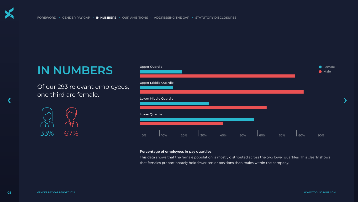

**FOREWORD • GENDER PAY GAP • IN NUMBERS • OUR AMBITIONS • ADDRESSING THE GAP • STATUTORY DISCLOSURES**

Of our 293 relevant employees, one third are female.



## **IN NUMBERS**

## **Percentage of employees in pay quartiles**





This data shows that the female population is mostly distributed across the two lower quartiles. This clearly shows that females proportionately hold fewer senior positions than males within the company.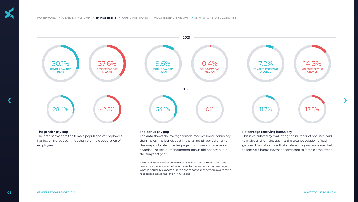### **The gender pay gap**

The data shows that the female population of employees has lower average earnings than the male population of employees.

### **The bonus pay gap**

The data shows the average female receives lower bonus pay than males. The bonus paid in the 12 month period prior to the snapshot date includes project bonuses and Xcellence awards\*. The senior management bonus did not pay out in the snapshot year.



\*The Xcellence award scheme allows colleagues to recognise their peers for excellence in behaviours and achievements that are beyond what is normally expected. In the snapshot year they were awarded to recognised personnel every 4-6 weeks.

## **Percentage receiving bonus pay**

This is calculated by evaluating the number of bonuses paid to males and females against the total population of each gender. This data shows that male employees are more likely to receive a bonus payment compared to female employees.

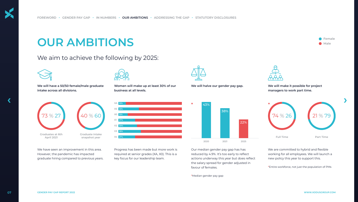

**We will have a 50/50 female/male graduate intake across all divisions.**



We have seen an improvement in this area. However, the pandemic has impacted graduate hiring compared to previous years.

Progress has been made but more work is required at senior grades (XA, X0). This is a key focus for our leadership team.

Our median gender pay gap has has reduced by 4.9%. It's too early to reflect actions underway this year but does reflect the salary spread for gender adjusted in favour of females.

\*Median gender pay gap



We are committed to hybrid and flexible working for all employees. We will launch a new policy this year to support this.

\*Entire workforce, not just the population of PMs





**Graduates at 6th** 



**Graduate intake** 

**Women will make up at least 30% of our business at all levels.**

**We will halve our gender pay gap.**



**We will make it possible for project managers to work part time.**



## We aim to achieve the following by 2025:



## **OUR AMBITIONS**



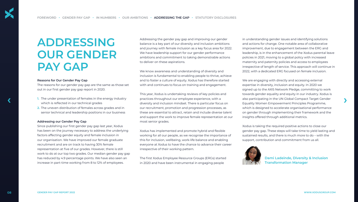### **Reasons for Our Gender Pay Gap**

The reasons for our gender pay gap are the same as those set out in our first gender pay gap report in 2020.

- **1.** The under presentation of females in the energy industry which is reflected in our technical grades
- **2.** The uneven distribution of females across grades and in senior technical and leadership positions in our business

### **Addressing our Gender Pay Gap**

Since publishing our first gender pay gap last year, Xodus has been on the journey necessary to address the underlying factors affecting gender equity and female inclusion in our organisation. We have improved our female graduate recruitment and are on track to having 30% female representation at five of our grades. However, there is still work to do at our top two grades. Our median gender pay gap has reduced by 4.9 percentage points. We have also seen an increase in part-time working from 8 to 12% of employees.

This year, Xodus is undertaking reviews of key policies and practices throughout our employee experience, with a diversity and inclusion mindset. There is particular focus on our recruitment, promotion and progression processes, as these are essential to attract, retain and include diverse talent and support the work to improve female representation at our most senior grades. 1. The under presentation of females in the energy industry practices throughout our employee experience, with a<br>
which is reflected in our technical grades diversity and inclusion mindset. There is particular focus on Equ

Addressing the gender pay gap and improving our gender balance is a key part of our diversity and inclusion ambitions and journey with female inclusion as a key focus area for 2022. We have leadership support for our gender performance ambitions and commitment to taking demonstrable actions to deliver on these aspirations.

We know awareness and understanding of diversity and inclusion is fundamental to enabling people to thrive, achieve and to foster a culture of equity. Xodus has therefore started with and continues to focus on training and engagement.

Xodus has implemented and promote hybrid and flexible working for all our people, as we recognise the importance of this for inclusion, wellbeing, work-life balance and enabling everyone at Xodus to have the chance to advance their career irrespective of their working pattern.

The first Xodus Employee Resource Groups (ERGs) started in 2020 and have been instrumental in engaging people

in understanding gender issues and identifying solutions and actions for change. One notable area of collaborative improvement, due to engagement between the ERG and leadership, is in the enhancement of the Xodus parental leave policies in 2021, moving to a global policy with increased maternity and paternity policies and access to employees irrespective of length of service. This approach will continue in 2022, with a dedicated ERG focused on female inclusion.

We are engaging with directly and accessing external expertise in diversity, inclusion and equity. In 2020 we signed up to the AXIS Network Pledge, committing to work towards gender equality and equity in our industry. Xodus is also participating in the UN Global Compact Target Gender Equality Women Empowerment Principles Programme, which is designed to accelerate organisational performance on gender through implementing their framework and the insights offered through additional metrics.

Xodus is taking the required positive actions to close our gender pay gap. These steps will take time to yield lasting and sustained results, and there is much more to do – with the support, contribution and commitment from us all.

## **ADDRESSING OUR GENDER PAY GAP**



**Dami Ladeinde, Diversity & Inclusion Transformation Manager**